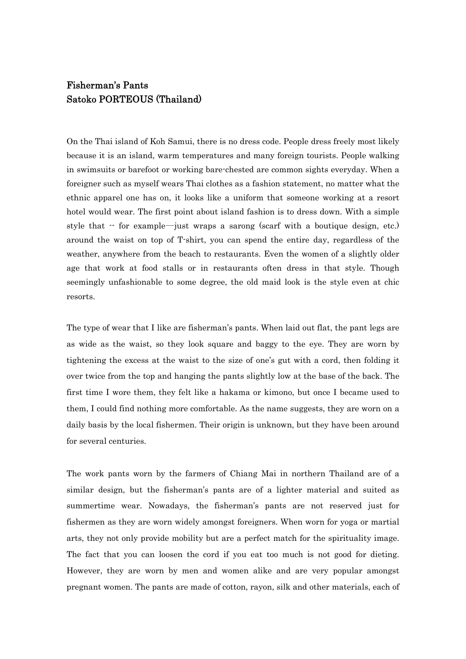## Fisherman's Pants Satoko PORTEOUS (Thailand)

On the Thai island of Koh Samui, there is no dress code. People dress freely most likely because it is an island, warm temperatures and many foreign tourists. People walking in swimsuits or barefoot or working bare-chested are common sights everyday. When a foreigner such as myself wears Thai clothes as a fashion statement, no matter what the ethnic apparel one has on, it looks like a uniform that someone working at a resort hotel would wear. The first point about island fashion is to dress down. With a simple style that -- for example―just wraps a sarong (scarf with a boutique design, etc.) around the waist on top of T-shirt, you can spend the entire day, regardless of the weather, anywhere from the beach to restaurants. Even the women of a slightly older age that work at food stalls or in restaurants often dress in that style. Though seemingly unfashionable to some degree, the old maid look is the style even at chic resorts.

The type of wear that I like are fisherman's pants. When laid out flat, the pant legs are as wide as the waist, so they look square and baggy to the eye. They are worn by tightening the excess at the waist to the size of one's gut with a cord, then folding it over twice from the top and hanging the pants slightly low at the base of the back. The first time I wore them, they felt like a hakama or kimono, but once I became used to them, I could find nothing more comfortable. As the name suggests, they are worn on a daily basis by the local fishermen. Their origin is unknown, but they have been around for several centuries.

The work pants worn by the farmers of Chiang Mai in northern Thailand are of a similar design, but the fisherman's pants are of a lighter material and suited as summertime wear. Nowadays, the fisherman's pants are not reserved just for fishermen as they are worn widely amongst foreigners. When worn for yoga or martial arts, they not only provide mobility but are a perfect match for the spirituality image. The fact that you can loosen the cord if you eat too much is not good for dieting. However, they are worn by men and women alike and are very popular amongst pregnant women. The pants are made of cotton, rayon, silk and other materials, each of